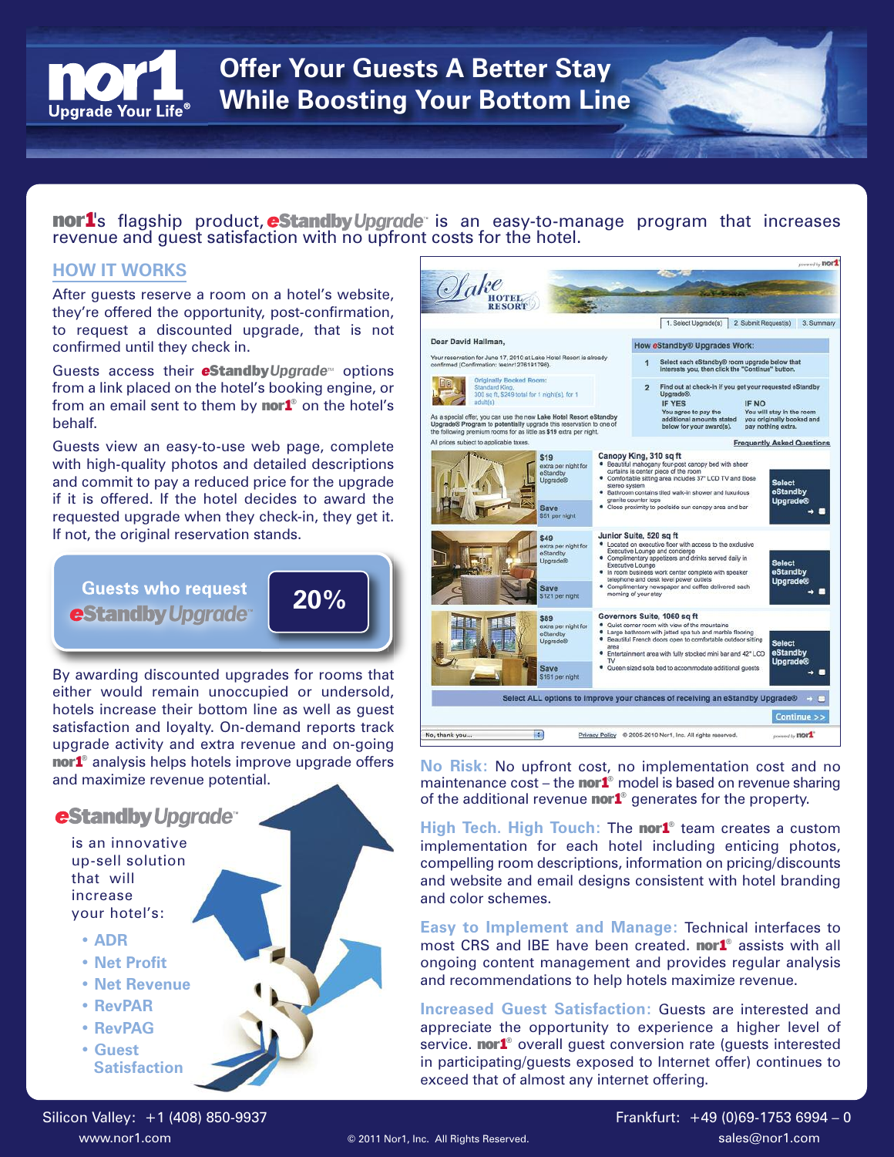

## **Offer Your Guests A Better Stay While Boosting Your Bottom Line**

## nor1's flagship product, eStandby Upgrade is an easy-to-manage program that increases revenue and guest satisfaction with no upfront costs for the hotel.

## **HOW IT WORKS**

After guests reserve a room on a hotel's website, they're offered the opportunity, post-confirmation, to request a discounted upgrade, that is not confirmed until they check in.

Guests access their **eStandby** Upgrade<sup>®</sup> options from a link placed on the hotel's booking engine, or from an email sent to them by nor1**®** on the hotel's behalf.

Guests view an easy-to-use web page, complete with high-quality photos and detailed descriptions and commit to pay a reduced price for the upgrade if it is offered. If the hotel decides to award the requested upgrade when they check-in, they get it. If not, the original reservation stands.

**e**Standby Upgrade 20%



By awarding discounted upgrades for rooms that either would remain unoccupied or undersold, hotels increase their bottom line as well as guest satisfaction and loyalty. On-demand reports track upgrade activity and extra revenue and on-going nor1**®** analysis helps hotels improve upgrade offers and maximize revenue potential.

## **eStandby Upgrade**

is an innovative up-sell solution that will increase your hotel's:

- **• ADR**
- **• Net Profit**
- **• Net Revenue**
- **• RevPAR**
- **• RevPAG**
- **• Guest Satisfaction**



**No Risk:** No upfront cost, no implementation cost and no maintenance cost – the nor1**®** model is based on revenue sharing of the additional revenue nor1**®** generates for the property.

**High Tech. High Touch:** The nor1**®** team creates a custom implementation for each hotel including enticing photos, compelling room descriptions, information on pricing/discounts and website and email designs consistent with hotel branding and color schemes.

**Easy to Implement and Manage:** Technical interfaces to most CRS and IBE have been created. nor1**®** assists with all ongoing content management and provides regular analysis and recommendations to help hotels maximize revenue.

**Increased Guest Satisfaction:** Guests are interested and appreciate the opportunity to experience a higher level of service. **nor1<sup>®</sup>** overall guest conversion rate (guests interested in participating/guests exposed to Internet offer) continues to exceed that of almost any internet offering.

Silicon Valley: +1 (408) 850-9937 **Frankfurt: +49 (0)69-1753 6994 – 0** 

www.nor1.com  $\textcircled{2011}$  Nor1, Inc. All Rights Reserved.  $\textcircled{3011}$  Sales@nor1.com